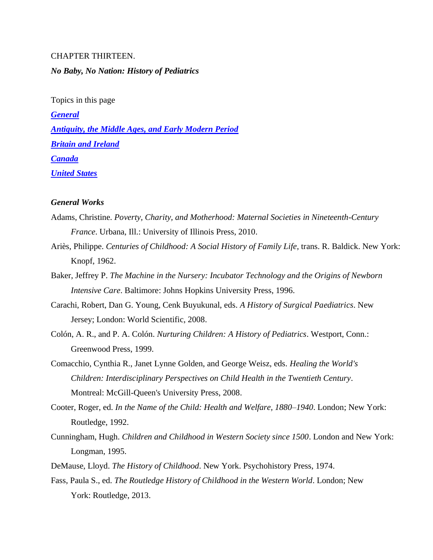# CHAPTER THIRTEEN. *No Baby, No Nation: History of Pediatrics*

Topics in this page *[General](#page-0-0) [Antiquity, the Middle Ages, and Early Modern](#page-2-0) Period [Britain and Ireland](#page-3-0) [Canada](#page-4-0) [United States](#page-6-0)*

### <span id="page-0-0"></span>*General Works*

- Adams, Christine. *Poverty, Charity, and Motherhood: Maternal Societies in Nineteenth-Century France*. Urbana, Ill.: University of Illinois Press, 2010.
- Ariès, Philippe. *Centuries of Childhood: A Social History of Family Life*, trans. R. Baldick. New York: Knopf, 1962.
- Baker, Jeffrey P. *The Machine in the Nursery: Incubator Technology and the Origins of Newborn Intensive Care*. Baltimore: Johns Hopkins University Press, 1996.
- Carachi, Robert, Dan G. Young, Cenk Buyukunal, eds. *A History of Surgical Paediatrics*. New Jersey; London: World Scientific, 2008.
- Colón, A. R., and P. A. Colón. *Nurturing Children: A History of Pediatrics*. Westport, Conn.: Greenwood Press, 1999.
- Comacchio, Cynthia R., Janet Lynne Golden, and George Weisz, eds. *Healing the World's Children: Interdisciplinary Perspectives on Child Health in the Twentieth Century*. Montreal: McGill-Queen's University Press, 2008.
- Cooter, Roger, ed. *In the Name of the Child: Health and Welfare, 1880–1940*. London; New York: Routledge, 1992.
- Cunningham, Hugh. *Children and Childhood in Western Society since 1500*. London and New York: Longman, 1995.
- DeMause, Lloyd. *The History of Childhood*. New York. Psychohistory Press, 1974.
- Fass, Paula S., ed. *The Routledge History of Childhood in the Western World*. London; New York: Routledge, 2013.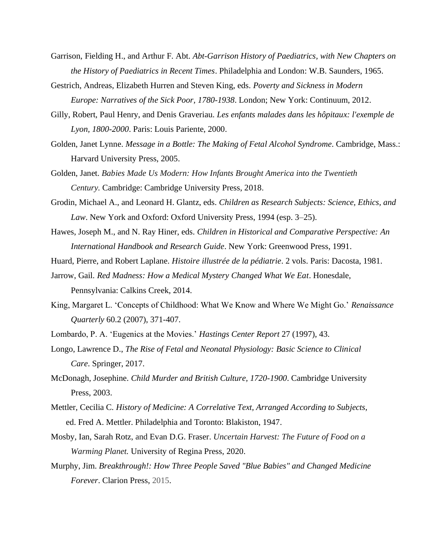- Garrison, Fielding H., and Arthur F. Abt. *Abt-Garrison History of Paediatrics, with New Chapters on the History of Paediatrics in Recent Times*. Philadelphia and London: W.B. Saunders, 1965.
- Gestrich, Andreas, Elizabeth Hurren and Steven King, eds. *Poverty and Sickness in Modern Europe: Narratives of the Sick Poor, 1780-1938*. London; New York: Continuum, 2012.
- Gilly, Robert, Paul Henry, and Denis Graveriau. *Les enfants malades dans les hôpitaux: l'exemple de Lyon, 1800-2000*. Paris: Louis Pariente, 2000.
- Golden, Janet Lynne. *Message in a Bottle: The Making of Fetal Alcohol Syndrome*. Cambridge, Mass.: Harvard University Press, 2005.
- Golden, Janet. *Babies Made Us Modern: How Infants Brought America into the Twentieth Century.* Cambridge: Cambridge University Press, 2018.
- Grodin, Michael A., and Leonard H. Glantz, eds. *Children as Research Subjects: Science, Ethics, and Law*. New York and Oxford: Oxford University Press, 1994 (esp. 3–25).
- Hawes, Joseph M., and N. Ray Hiner, eds. *Children in Historical and Comparative Perspective: An International Handbook and Research Guide*. New York: Greenwood Press, 1991.
- Huard, Pierre, and Robert Laplane. *Histoire illustrée de la pédiatrie*. 2 vols. Paris: Dacosta, 1981.
- Jarrow, Gail. *Red Madness: How a Medical Mystery Changed What We Eat*. Honesdale, Pennsylvania: Calkins Creek, 2014.
- King, Margaret L. 'Concepts of Childhood: What We Know and Where We Might Go.' *Renaissance Quarterly* 60.2 (2007), 371-407.
- Lombardo, P. A. 'Eugenics at the Movies.' *Hastings Center Report* 27 (1997), 43.
- Longo, Lawrence D., *The Rise of Fetal and Neonatal Physiology: Basic Science to Clinical Care*. Springer, 2017.
- McDonagh, Josephine. *Child Murder and British Culture, 1720-1900*. Cambridge University Press, 2003.
- Mettler, Cecilia C. *History of Medicine: A Correlative Text, Arranged According to Subjects*, ed. Fred A. Mettler. Philadelphia and Toronto: Blakiston, 1947.
- Mosby, Ian, Sarah Rotz, and Evan D.G. Fraser. *Uncertain Harvest: The Future of Food on a Warming Planet.* University of Regina Press, 2020.
- Murphy, Jim. *Breakthrough!: How Three People Saved "Blue Babies" and Changed Medicine Forever*. Clarion Press, 2015.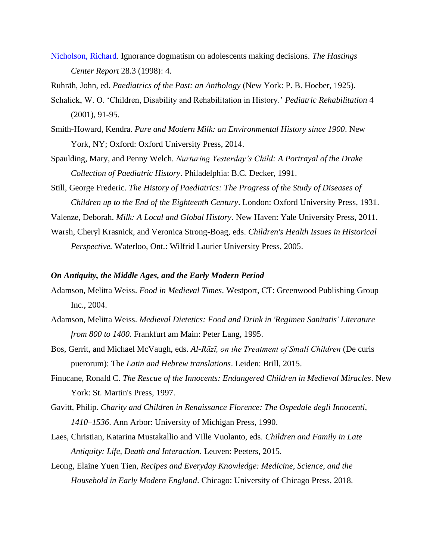[Nicholson, Richard.](https://go.gale.com/ps/anonymous?id=GALE%7CA20993916&sid=googleScholar&v=2.1&it=r&linkaccess=abs&issn=00930334&p=AONE&sw=w) Ignorance dogmatism on adolescents making decisions. *The Hastings Center Report* 28.3 (1998): 4.

Ruhräh, John, ed. *Paediatrics of the Past: an Anthology* (New York: P. B. Hoeber, 1925).

- Schalick, W. O. 'Children, Disability and Rehabilitation in History.' *Pediatric Rehabilitation* 4 (2001), 91-95.
- Smith-Howard, Kendra. *Pure and Modern Milk: an Environmental History since 1900*. New York, NY; Oxford: Oxford University Press, 2014.
- Spaulding, Mary, and Penny Welch. *Nurturing Yesterday's Child: A Portrayal of the Drake Collection of Paediatric History*. Philadelphia: B.C. Decker, 1991.
- Still, George Frederic. *The History of Paediatrics: The Progress of the Study of Diseases of Children up to the End of the Eighteenth Century*. London: Oxford University Press, 1931.

Valenze, Deborah. *Milk: A Local and Global History*. New Haven: Yale University Press, 2011.

Warsh, Cheryl Krasnick, and Veronica Strong-Boag, eds. *Children's Health Issues in Historical Perspective.* Waterloo, Ont.: Wilfrid Laurier University Press, 2005.

#### <span id="page-2-0"></span>*On Antiquity, the Middle Ages, and the Early Modern Period*

- Adamson, Melitta Weiss. *Food in Medieval Times*. Westport, CT: Greenwood Publishing Group Inc., 2004.
- Adamson, Melitta Weiss. *Medieval Dietetics: Food and Drink in 'Regimen Sanitatis' Literature from 800 to 1400*. Frankfurt am Main: Peter Lang, 1995.
- Bos, Gerrit, and Michael McVaugh, eds. *Al-Rāzī, on the Treatment of Small Children* (De curis puerorum): The *Latin and Hebrew translations*. Leiden: Brill, 2015.
- Finucane, Ronald C. *The Rescue of the Innocents: Endangered Children in Medieval Miracles*. New York: St. Martin's Press, 1997.
- Gavitt, Philip. *Charity and Children in Renaissance Florence: The Ospedale degli Innocenti, 1410–1536*. Ann Arbor: University of Michigan Press, 1990.
- Laes, Christian, Katarina Mustakallio and Ville Vuolanto, eds. *Children and Family in Late Antiquity: Life, Death and Interaction*. Leuven: Peeters, 2015.
- Leong, Elaine Yuen Tien, *Recipes and Everyday Knowledge: Medicine, Science, and the Household in Early Modern England*. Chicago: University of Chicago Press, 2018.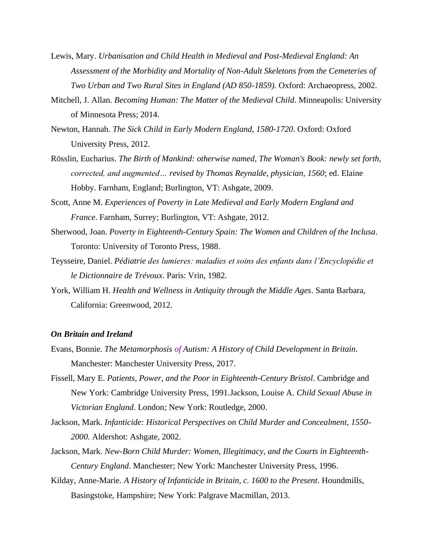- Lewis, Mary. *Urbanisation and Child Health in Medieval and Post-Medieval England: An Assessment of the Morbidity and Mortality of Non-Adult Skeletons from the Cemeteries of Two Urban and Two Rural Sites in England (AD 850-1859).* Oxford: Archaeopress, 2002.
- Mitchell, J. Allan. *Becoming Human: The Matter of the Medieval Child*. Minneapolis: University of Minnesota Press; 2014.
- Newton, Hannah. *The Sick Child in Early Modern England, 1580-1720*. Oxford: Oxford University Press, 2012.
- Rösslin, Eucharius. *The Birth of Mankind: otherwise named, The Woman's Book: newly set forth, corrected, and augmented… revised by Thomas Reynalde, physician, 1560*; ed. Elaine Hobby. Farnham, England; Burlington, VT: Ashgate, 2009.
- Scott, Anne M. *Experiences of Poverty in Late Medieval and Early Modern England and France*. Farnham, Surrey; Burlington, VT: Ashgate, 2012.
- Sherwood, Joan. *Poverty in Eighteenth-Century Spain: The Women and Children of the Inclusa*. Toronto: University of Toronto Press, 1988.
- Teysseire, Daniel. *Pédiatrie des lumieres: maladies et soins des enfants dans l'Encyclopédie et le Dictionnaire de Trévoux*. Paris: Vrin, 1982*.*
- York, William H. *Health and Wellness in Antiquity through the Middle Ages*. Santa Barbara, California: Greenwood, 2012.

#### <span id="page-3-0"></span>*On Britain and Ireland*

- Evans, Bonnie. *The Metamorphosis of Autism: A History of Child Development in Britain.* Manchester: Manchester University Press, 2017.
- Fissell, Mary E. *Patients, Power, and the Poor in Eighteenth-Century Bristol*. Cambridge and New York: Cambridge University Press, 1991.Jackson, Louise A. *Child Sexual Abuse in Victorian England*. London; New York: Routledge, 2000.
- Jackson, Mark. *[Infanticide: Historical Perspectives on Child Murder and Concealment, 1550-](http://www.ncbi.nlm.nih.gov/sites/entrez?Db=nlmcatalog&Cmd=ShowDetailView&TermToSearch=433489&ordinalpos=7&itool=EntrezSystem2.PEntrez.Nlmcatalog.Nlmcatalog_ResultsPanel.Nlmcatalog_RVDocSum) [2000](http://www.ncbi.nlm.nih.gov/sites/entrez?Db=nlmcatalog&Cmd=ShowDetailView&TermToSearch=433489&ordinalpos=7&itool=EntrezSystem2.PEntrez.Nlmcatalog.Nlmcatalog_ResultsPanel.Nlmcatalog_RVDocSum)*. Aldershot: Ashgate, 2002.
- Jackson, Mark. *[New-Born Child Murder: Women, Illegitimacy, and the Courts in Eighteenth-](http://www.ncbi.nlm.nih.gov/sites/entrez?Db=nlmcatalog&Cmd=ShowDetailView&TermToSearch=1229253&ordinalpos=10&itool=EntrezSystem2.PEntrez.Nlmcatalog.Nlmcatalog_ResultsPanel.Nlmcatalog_RVDocSum)[Century England](http://www.ncbi.nlm.nih.gov/sites/entrez?Db=nlmcatalog&Cmd=ShowDetailView&TermToSearch=1229253&ordinalpos=10&itool=EntrezSystem2.PEntrez.Nlmcatalog.Nlmcatalog_ResultsPanel.Nlmcatalog_RVDocSum)*. Manchester; New York: Manchester University Press, 1996.
- Kilday, Anne-Marie. *A History of Infanticide in Britain, c. 1600 to the Present*. Houndmills, Basingstoke, Hampshire; New York: Palgrave Macmillan, 2013.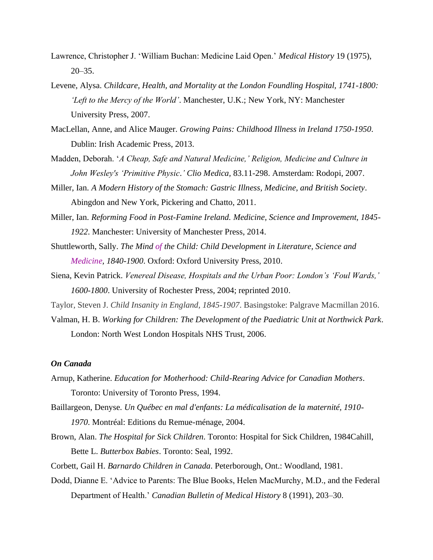- Lawrence, Christopher J. 'William Buchan: Medicine Laid Open.' *Medical History* 19 (1975), 20–35.
- Levene, Alysa. *Childcare, Health, and Mortality at the London Foundling Hospital, 1741-1800: 'Left to the Mercy of the World'*. Manchester, U.K.; New York, NY: Manchester University Press, 2007.
- MacLellan, Anne, and Alice Mauger. *Growing Pains: Childhood Illness in Ireland 1750-1950*. Dublin: Irish Academic Press, 2013.
- Madden, Deborah. '*A Cheap, Safe and Natural Medicine,' Religion, Medicine and Culture in John Wesley's 'Primitive Physic*.*' Clio Medica,* 83.11-298. Amsterdam: Rodopi, 2007.
- Miller, Ian. *A Modern History of the Stomach: Gastric Illness, Medicine, and British Society*. Abingdon and New York, Pickering and Chatto, 2011.
- Miller, Ian. *Reforming Food in Post-Famine Ireland. Medicine, Science and Improvement, 1845- 1922*. Manchester: University of Manchester Press, 2014.
- Shuttleworth, Sally. *The Mind of the Child: Child Development in Literature, Science and Medicine, 1840-1900*. Oxford: Oxford University Press, 2010.
- Siena, Kevin Patrick. *Venereal Disease, Hospitals and the Urban Poor: London's 'Foul Wards,' 1600-1800*. University of Rochester Press, 2004; reprinted 2010.
- Taylor, Steven J. *Child Insanity in England, 1845-1907*. Basingstoke: Palgrave Macmillan 2016.
- Valman, H. B. *Working for Children: The Development of the Paediatric Unit at Northwick Park*. London: North West London Hospitals NHS Trust, 2006.

## <span id="page-4-0"></span>*On Canada*

- Arnup, Katherine. *Education for Motherhood: Child-Rearing Advice for Canadian Mothers*. Toronto: University of Toronto Press, 1994.
- Baillargeon, Denyse. *Un Québec en mal d'enfants: La médicalisation de la maternité, 1910- 1970*. Montréal: Editions du Remue-ménage, 2004.
- Brown, Alan. *The Hospital for Sick Children*. Toronto: Hospital for Sick Children, 1984Cahill, Bette L. *Butterbox Babies*. Toronto: Seal, 1992.
- Corbett, Gail H. *Barnardo Children in Canada*. Peterborough, Ont.: Woodland, 1981.
- Dodd, Dianne E. 'Advice to Parents: The Blue Books, Helen MacMurchy, M.D., and the Federal Department of Health.' *Canadian Bulletin of Medical History* 8 (1991), 203–30.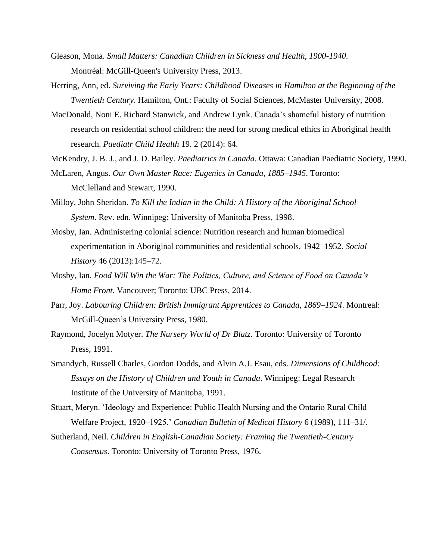- Gleason, Mona. *Small Matters: Canadian Children in Sickness and Health, 1900-1940*. Montréal: McGill-Queen's University Press, 2013.
- Herring, Ann, ed. *Surviving the Early Years: Childhood Diseases in Hamilton at the Beginning of the Twentieth Century*. Hamilton, Ont.: Faculty of Social Sciences, McMaster University, 2008.
- MacDonald, Noni E. Richard Stanwick, and Andrew Lynk. Canada's shameful history of nutrition research on residential school children: the need for strong medical ethics in Aboriginal health research. *Paediatr Child Health* 19. 2 (2014): 64.
- McKendry, J. B. J., and J. D. Bailey. *Paediatrics in Canada*. Ottawa: Canadian Paediatric Society, 1990. McLaren, Angus. *Our Own Master Race: Eugenics in Canada, 1885–1945*. Toronto:
- Milloy, John Sheridan. *To Kill the Indian in the Child: A History of the Aboriginal School System*. Rev. edn. Winnipeg: University of Manitoba Press, 1998.

McClelland and Stewart, 1990.

- Mosby, Ian. Administering colonial science: Nutrition research and human biomedical experimentation in Aboriginal communities and residential schools, 1942–1952. *Social History* 46 (2013):145–72.
- Mosby, Ian. *Food Will Win the War: The Politics, Culture, and Science of Food on Canada's Home Front*. Vancouver; Toronto: UBC Press, 2014.
- Parr, Joy. *Labouring Children: British Immigrant Apprentices to Canada, 1869–1924*. Montreal: McGill-Queen's University Press, 1980.
- Raymond, Jocelyn Motyer. *The Nursery World of Dr Blatz*. Toronto: University of Toronto Press, 1991.
- Smandych, Russell Charles, Gordon Dodds, and Alvin A.J. Esau, eds. *Dimensions of Childhood: Essays on the History of Children and Youth in Canada*. Winnipeg: Legal Research Institute of the University of Manitoba, 1991.
- Stuart, Meryn. 'Ideology and Experience: Public Health Nursing and the Ontario Rural Child Welfare Project, 1920–1925.' *Canadian Bulletin of Medical History* 6 (1989), 111–31/.
- Sutherland, Neil. *Children in English-Canadian Society: Framing the Twentieth-Century Consensus*. Toronto: University of Toronto Press, 1976.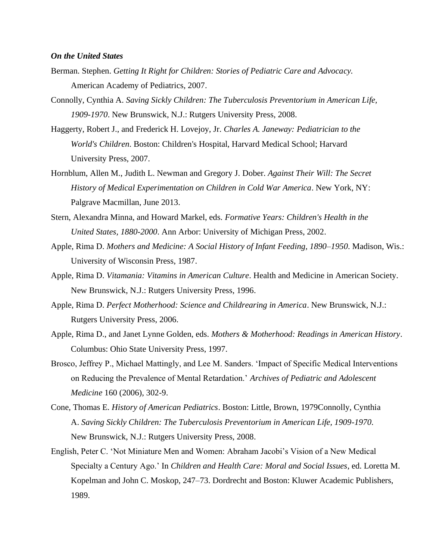#### <span id="page-6-0"></span>*On the United States*

- Berman. Stephen. *Getting It Right for Children: Stories of Pediatric Care and Advocacy.*  American Academy of Pediatrics, 2007.
- Connolly, Cynthia A. *Saving Sickly Children: The Tuberculosis Preventorium in American Life, 1909-1970*. New Brunswick, N.J.: Rutgers University Press, 2008.
- Haggerty, Robert J., and Frederick H. Lovejoy, Jr. *Charles A. Janeway: Pediatrician to the World's Children*. Boston: Children's Hospital, Harvard Medical School; Harvard University Press, 2007.
- Hornblum, Allen M., Judith L. Newman and Gregory J. Dober. *Against Their Will: The Secret History of Medical Experimentation on Children in Cold War America*. New York, NY: Palgrave Macmillan, June 2013.
- Stern, Alexandra Minna, and Howard Markel, eds. *Formative Years: Children's Health in the United States, 1880-2000*. Ann Arbor: University of Michigan Press, 2002.
- Apple, Rima D. *Mothers and Medicine: A Social History of Infant Feeding, 1890–1950*. Madison, Wis.: University of Wisconsin Press, 1987.
- Apple, Rima D. *Vitamania: Vitamins in American Culture*. Health and Medicine in American Society. New Brunswick, N.J.: Rutgers University Press, 1996.
- Apple, Rima D. *Perfect Motherhood: Science and Childrearing in America*. New Brunswick, N.J.: Rutgers University Press, 2006.
- Apple, Rima D., and Janet Lynne Golden, eds. *Mothers & Motherhood: Readings in American History*. Columbus: Ohio State University Press, 1997.
- Brosco, Jeffrey P., Michael Mattingly, and Lee M. Sanders. 'Impact of Specific Medical Interventions on Reducing the Prevalence of Mental Retardation.' *Archives of Pediatric and Adolescent Medicine* 160 (2006), 302-9.
- Cone, Thomas E. *History of American Pediatrics*. Boston: Little, Brown, 1979Connolly, Cynthia A. *Saving Sickly Children: The Tuberculosis Preventorium in American Life, 1909-1970*. New Brunswick, N.J.: Rutgers University Press, 2008.
- English, Peter C. 'Not Miniature Men and Women: Abraham Jacobi's Vision of a New Medical Specialty a Century Ago.' In *Children and Health Care: Moral and Social Issues*, ed. Loretta M. Kopelman and John C. Moskop, 247–73. Dordrecht and Boston: Kluwer Academic Publishers, 1989.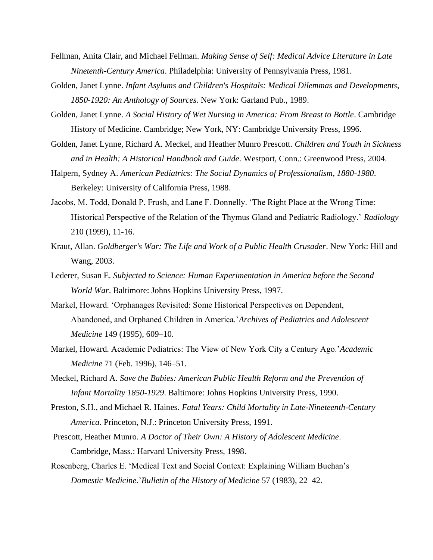- Fellman, Anita Clair, and Michael Fellman. *Making Sense of Self: Medical Advice Literature in Late Ninetenth-Century America*. Philadelphia: University of Pennsylvania Press, 1981.
- Golden, Janet Lynne. *Infant Asylums and Children's Hospitals: Medical Dilemmas and Developments, 1850-1920: An Anthology of Sources*. New York: Garland Pub., 1989.
- Golden, Janet Lynne. *A Social History of Wet Nursing in America: From Breast to Bottle*. Cambridge History of Medicine. Cambridge; New York, NY: Cambridge University Press, 1996.
- Golden, Janet Lynne, Richard A. Meckel, and Heather Munro Prescott. *Children and Youth in Sickness and in Health: A Historical Handbook and Guide*. Westport, Conn.: Greenwood Press, 2004.
- Halpern, Sydney A. *American Pediatrics: The Social Dynamics of Professionalism, 1880-1980*. Berkeley: University of California Press, 1988.
- Jacobs, M. Todd, Donald P. Frush, and Lane F. Donnelly. 'The Right Place at the Wrong Time: Historical Perspective of the Relation of the Thymus Gland and Pediatric Radiology.' *Radiology* 210 (1999), 11-16.
- Kraut, Allan. *Goldberger's War: The Life and Work of a Public Health Crusader*. New York: Hill and Wang, 2003.
- Lederer, Susan E. *Subjected to Science: Human Experimentation in America before the Second World War*. Baltimore: Johns Hopkins University Press, 1997.
- Markel, Howard. 'Orphanages Revisited: Some Historical Perspectives on Dependent, Abandoned, and Orphaned Children in America.'*Archives of Pediatrics and Adolescent Medicine* 149 (1995), 609–10.
- Markel, Howard. Academic Pediatrics: The View of New York City a Century Ago.'*Academic Medicine* 71 (Feb. 1996), 146–51.
- Meckel, Richard A. *Save the Babies: American Public Health Reform and the Prevention of Infant Mortality 1850-1929*. Baltimore: Johns Hopkins University Press, 1990.
- Preston, S.H., and Michael R. Haines. *Fatal Years: Child Mortality in Late-Nineteenth-Century America*. Princeton, N.J.: Princeton University Press, 1991.
- Prescott, Heather Munro. *A Doctor of Their Own: A History of Adolescent Medicine*. Cambridge, Mass.: Harvard University Press, 1998.
- Rosenberg, Charles E. 'Medical Text and Social Context: Explaining William Buchan's *Domestic Medicine.*'*Bulletin of the History of Medicine* 57 (1983), 22–42.